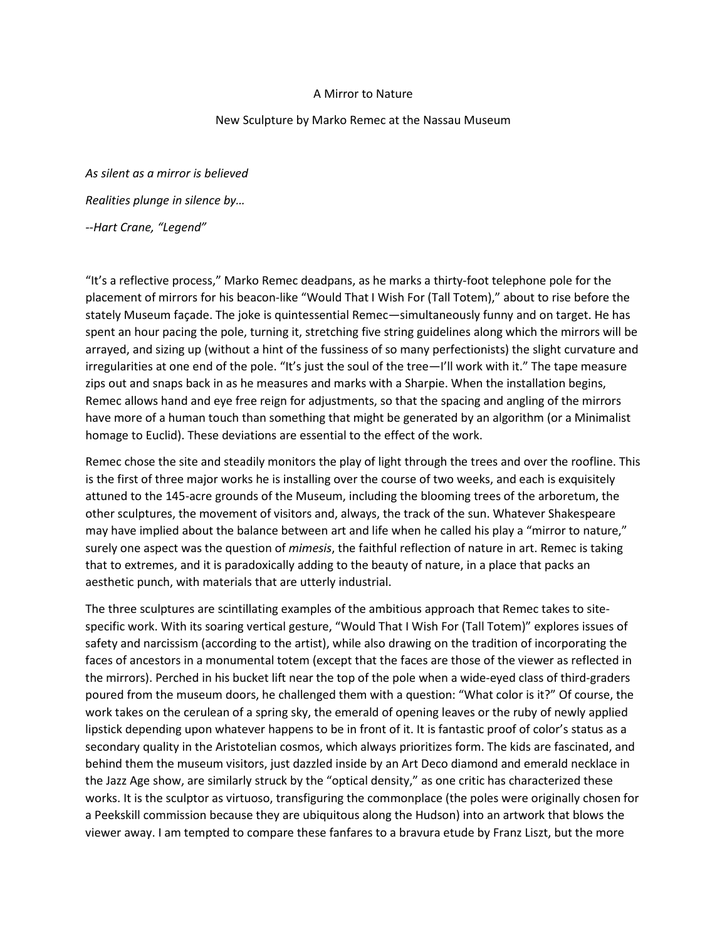## A Mirror to Nature

## New Sculpture by Marko Remec at the Nassau Museum

*As silent as a mirror is believed Realities plunge in silence by… --Hart Crane, "Legend"*

"It's a reflective process," Marko Remec deadpans, as he marks a thirty-foot telephone pole for the placement of mirrors for his beacon-like "Would That I Wish For (Tall Totem)," about to rise before the stately Museum façade. The joke is quintessential Remec—simultaneously funny and on target. He has spent an hour pacing the pole, turning it, stretching five string guidelines along which the mirrors will be arrayed, and sizing up (without a hint of the fussiness of so many perfectionists) the slight curvature and irregularities at one end of the pole. "It's just the soul of the tree—I'll work with it." The tape measure zips out and snaps back in as he measures and marks with a Sharpie. When the installation begins, Remec allows hand and eye free reign for adjustments, so that the spacing and angling of the mirrors have more of a human touch than something that might be generated by an algorithm (or a Minimalist homage to Euclid). These deviations are essential to the effect of the work.

Remec chose the site and steadily monitors the play of light through the trees and over the roofline. This is the first of three major works he is installing over the course of two weeks, and each is exquisitely attuned to the 145-acre grounds of the Museum, including the blooming trees of the arboretum, the other sculptures, the movement of visitors and, always, the track of the sun. Whatever Shakespeare may have implied about the balance between art and life when he called his play a "mirror to nature," surely one aspect was the question of *mimesis*, the faithful reflection of nature in art. Remec is taking that to extremes, and it is paradoxically adding to the beauty of nature, in a place that packs an aesthetic punch, with materials that are utterly industrial.

The three sculptures are scintillating examples of the ambitious approach that Remec takes to sitespecific work. With its soaring vertical gesture, "Would That I Wish For (Tall Totem)" explores issues of safety and narcissism (according to the artist), while also drawing on the tradition of incorporating the faces of ancestors in a monumental totem (except that the faces are those of the viewer as reflected in the mirrors). Perched in his bucket lift near the top of the pole when a wide-eyed class of third-graders poured from the museum doors, he challenged them with a question: "What color is it?" Of course, the work takes on the cerulean of a spring sky, the emerald of opening leaves or the ruby of newly applied lipstick depending upon whatever happens to be in front of it. It is fantastic proof of color's status as a secondary quality in the Aristotelian cosmos, which always prioritizes form. The kids are fascinated, and behind them the museum visitors, just dazzled inside by an Art Deco diamond and emerald necklace in the Jazz Age show, are similarly struck by the "optical density," as one critic has characterized these works. It is the sculptor as virtuoso, transfiguring the commonplace (the poles were originally chosen for a Peekskill commission because they are ubiquitous along the Hudson) into an artwork that blows the viewer away. I am tempted to compare these fanfares to a bravura etude by Franz Liszt, but the more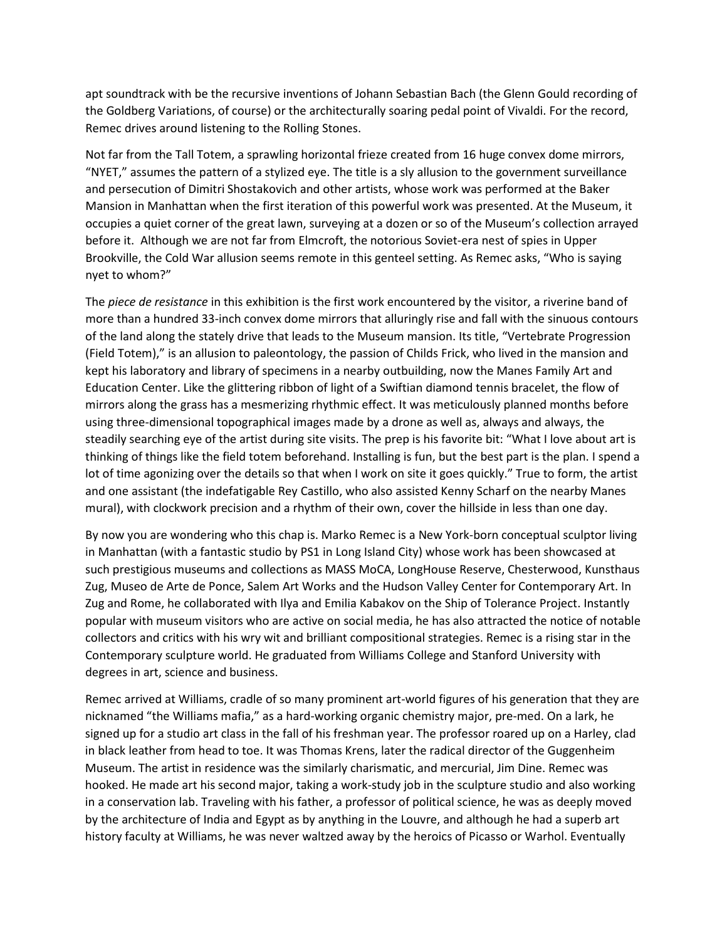apt soundtrack with be the recursive inventions of Johann Sebastian Bach (the Glenn Gould recording of the Goldberg Variations, of course) or the architecturally soaring pedal point of Vivaldi. For the record, Remec drives around listening to the Rolling Stones.

Not far from the Tall Totem, a sprawling horizontal frieze created from 16 huge convex dome mirrors, "NYET," assumes the pattern of a stylized eye. The title is a sly allusion to the government surveillance and persecution of Dimitri Shostakovich and other artists, whose work was performed at the Baker Mansion in Manhattan when the first iteration of this powerful work was presented. At the Museum, it occupies a quiet corner of the great lawn, surveying at a dozen or so of the Museum's collection arrayed before it. Although we are not far from Elmcroft, the notorious Soviet-era nest of spies in Upper Brookville, the Cold War allusion seems remote in this genteel setting. As Remec asks, "Who is saying nyet to whom?"

The *piece de resistance* in this exhibition is the first work encountered by the visitor, a riverine band of more than a hundred 33-inch convex dome mirrors that alluringly rise and fall with the sinuous contours of the land along the stately drive that leads to the Museum mansion. Its title, "Vertebrate Progression (Field Totem)," is an allusion to paleontology, the passion of Childs Frick, who lived in the mansion and kept his laboratory and library of specimens in a nearby outbuilding, now the Manes Family Art and Education Center. Like the glittering ribbon of light of a Swiftian diamond tennis bracelet, the flow of mirrors along the grass has a mesmerizing rhythmic effect. It was meticulously planned months before using three-dimensional topographical images made by a drone as well as, always and always, the steadily searching eye of the artist during site visits. The prep is his favorite bit: "What I love about art is thinking of things like the field totem beforehand. Installing is fun, but the best part is the plan. I spend a lot of time agonizing over the details so that when I work on site it goes quickly." True to form, the artist and one assistant (the indefatigable Rey Castillo, who also assisted Kenny Scharf on the nearby Manes mural), with clockwork precision and a rhythm of their own, cover the hillside in less than one day.

By now you are wondering who this chap is. Marko Remec is a New York-born conceptual sculptor living in Manhattan (with a fantastic studio by PS1 in Long Island City) whose work has been showcased at such prestigious museums and collections as MASS MoCA, LongHouse Reserve, Chesterwood, Kunsthaus Zug, Museo de Arte de Ponce, Salem Art Works and the Hudson Valley Center for Contemporary Art. In Zug and Rome, he collaborated with Ilya and Emilia Kabakov on the Ship of Tolerance Project. Instantly popular with museum visitors who are active on social media, he has also attracted the notice of notable collectors and critics with his wry wit and brilliant compositional strategies. Remec is a rising star in the Contemporary sculpture world. He graduated from Williams College and Stanford University with degrees in art, science and business.

Remec arrived at Williams, cradle of so many prominent art-world figures of his generation that they are nicknamed "the Williams mafia," as a hard-working organic chemistry major, pre-med. On a lark, he signed up for a studio art class in the fall of his freshman year. The professor roared up on a Harley, clad in black leather from head to toe. It was Thomas Krens, later the radical director of the Guggenheim Museum. The artist in residence was the similarly charismatic, and mercurial, Jim Dine. Remec was hooked. He made art his second major, taking a work-study job in the sculpture studio and also working in a conservation lab. Traveling with his father, a professor of political science, he was as deeply moved by the architecture of India and Egypt as by anything in the Louvre, and although he had a superb art history faculty at Williams, he was never waltzed away by the heroics of Picasso or Warhol. Eventually